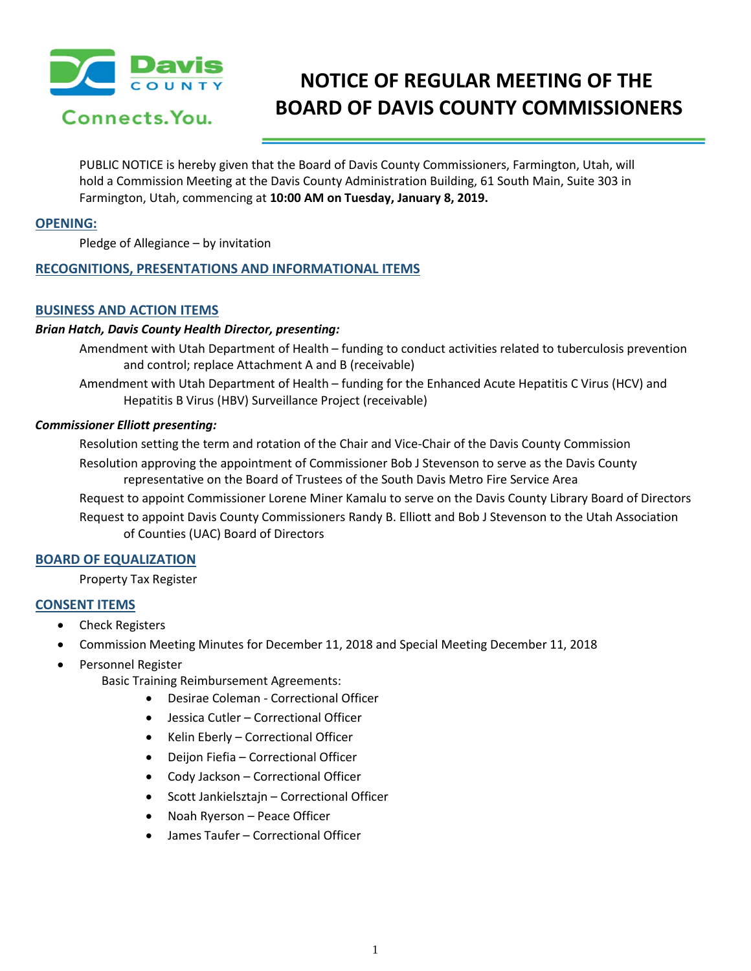

# **NOTICE OF REGULAR MEETING OF THE BOARD OF DAVIS COUNTY COMMISSIONERS**

PUBLIC NOTICE is hereby given that the Board of Davis County Commissioners, Farmington, Utah, will hold a Commission Meeting at the Davis County Administration Building, 61 South Main, Suite 303 in Farmington, Utah, commencing at **10:00 AM on Tuesday, January 8, 2019.**

#### **OPENING:**

Pledge of Allegiance – by invitation

## **RECOGNITIONS, PRESENTATIONS AND INFORMATIONAL ITEMS**

## **BUSINESS AND ACTION ITEMS**

## *Brian Hatch, Davis County Health Director, presenting:*

Amendment with Utah Department of Health – funding to conduct activities related to tuberculosis prevention and control; replace Attachment A and B (receivable)

Amendment with Utah Department of Health – funding for the Enhanced Acute Hepatitis C Virus (HCV) and Hepatitis B Virus (HBV) Surveillance Project (receivable)

#### *Commissioner Elliott presenting:*

Resolution setting the term and rotation of the Chair and Vice-Chair of the Davis County Commission Resolution approving the appointment of Commissioner Bob J Stevenson to serve as the Davis County representative on the Board of Trustees of the South Davis Metro Fire Service Area

Request to appoint Commissioner Lorene Miner Kamalu to serve on the Davis County Library Board of Directors Request to appoint Davis County Commissioners Randy B. Elliott and Bob J Stevenson to the Utah Association of Counties (UAC) Board of Directors

## **BOARD OF EQUALIZATION**

Property Tax Register

## **CONSENT ITEMS**

- Check Registers
- Commission Meeting Minutes for December 11, 2018 and Special Meeting December 11, 2018
- Personnel Register
	- Basic Training Reimbursement Agreements:
		- Desirae Coleman Correctional Officer
		- Jessica Cutler Correctional Officer
		- Kelin Eberly Correctional Officer
		- Deijon Fiefia Correctional Officer
		- Cody Jackson Correctional Officer
		- Scott Jankielsztajn Correctional Officer
		- Noah Ryerson Peace Officer
		- James Taufer Correctional Officer